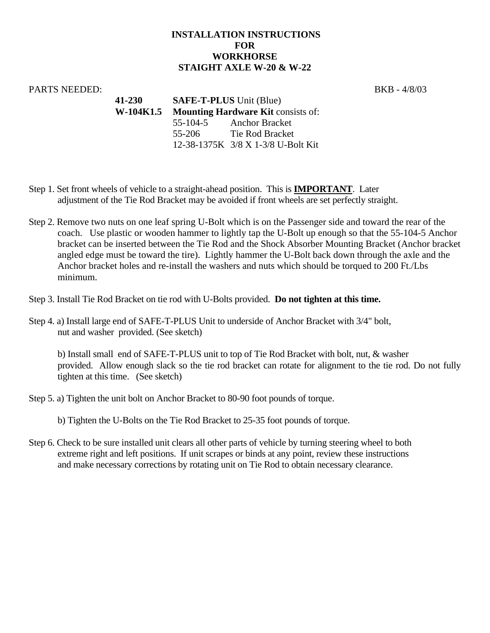## **INSTALLATION INSTRUCTIONS FOR WORKHORSE STAIGHT AXLE W-20 & W-22**

## PARTS NEEDED: BKB - 4/8/03

**41-230 SAFE-T-PLUS** Unit (Blue) **W-104K1.5 Mounting Hardware Kit** consists of: 55-104-5 Anchor Bracket 55-206 Tie Rod Bracket 12-38-1375K 3/8 X 1-3/8 U-Bolt Kit

- Step 1. Set front wheels of vehicle to a straight-ahead position. This is **IMPORTANT**. Later adjustment of the Tie Rod Bracket may be avoided if front wheels are set perfectly straight.
- Step 2. Remove two nuts on one leaf spring U-Bolt which is on the Passenger side and toward the rear of the coach. Use plastic or wooden hammer to lightly tap the U-Bolt up enough so that the 55-104-5 Anchor bracket can be inserted between the Tie Rod and the Shock Absorber Mounting Bracket (Anchor bracket angled edge must be toward the tire). Lightly hammer the U-Bolt back down through the axle and the Anchor bracket holes and re-install the washers and nuts which should be torqued to 200 Ft./Lbs minimum.
- Step 3. Install Tie Rod Bracket on tie rod with U-Bolts provided. **Do not tighten at this time.**
- Step 4. a) Install large end of SAFE-T-PLUS Unit to underside of Anchor Bracket with 3/4" bolt, nut and washer provided. (See sketch)

 b) Install small end of SAFE-T-PLUS unit to top of Tie Rod Bracket with bolt, nut, & washer provided. Allow enough slack so the tie rod bracket can rotate for alignment to the tie rod. Do not fully tighten at this time. (See sketch)

Step 5. a) Tighten the unit bolt on Anchor Bracket to 80-90 foot pounds of torque.

b) Tighten the U-Bolts on the Tie Rod Bracket to 25-35 foot pounds of torque.

Step 6. Check to be sure installed unit clears all other parts of vehicle by turning steering wheel to both extreme right and left positions. If unit scrapes or binds at any point, review these instructions and make necessary corrections by rotating unit on Tie Rod to obtain necessary clearance.